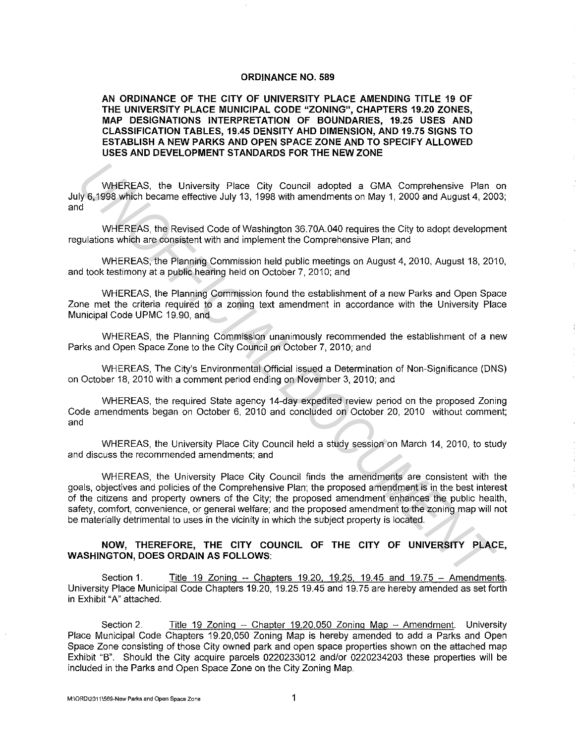#### **ORDINANCE NO. 589**

**AN ORDINANCE OF THE CITY OF UNIVERSITY PLACE AMENDING TITLE 19 OF THE UNIVERSITY PLACE MUNICIPAL CODE "ZONING", CHAPTERS 19.20 ZONES, MAP DESIGNATIONS INTERPRETATION OF BOUNDARIES, 19.25 USES AND CLASSIFICATION TABLES, 19.45 DENSITY AHO DIMENSION, AND 19.75 SIGNS TO ESTABLISH A NEW PARKS AND OPEN SPACE ZONE AND TO SPECIFY ALLOWED USES AND DEVELOPMENT STANDARDS FOR THE NEW ZONE** 

WHEREAS, the University Place City Council adopted a GMA Comprehensive Plan on July 6, 1998 which became effective July 13. 1998 with amendments on May **1,** 2000 and August **4,** 2003; and

WHEREAS, the Revised Code of Washington 36. 70A.040 requires the City to adopt development regulations which are consistent with and implement the Comprehensive Plan; and

WHEREAS, the Planning Commission held public meetings on August 4, 2010, August 18, 2010, and took testimony at a public hearing held on October 7, 2010; and

WHEREAS, the Planning Commission found the establishment of a new Parks and Open Space Zone met the criteria required to a zoning text amendment in accordance with the University Place Municipal Code UPMC 19.90, and

WHEREAS, the Planning Commission unanimously recommended the establishment of a new Parks and Open Space Zone to the City Council on October 7, 2010; and

WHEREAS, The City's Environmental Official issued a Determination of Non-Significance (DNS) on October 18, 2010 with a comment period ending on November 3, 2010; and

WHEREAS, the required State agency 14-day expedited review period on the proposed Zoning Code amendments began on October 6, 2010 and concluded on October 20, 2010 without comment; and

WHEREAS, the University Place City Council held a study session on March **14,** 2010, to study and discuss the recommended amendments; and

WHEREAS, the University Place City Council finds the amendments are consistent with the goals, objectives and policies of the Comprehensive Plan; the proposed amendment is in the best interest of the citizens and property owners of the City; the proposed amendment enhances the public health, safety, comfort, convenience, or general welfare; and the proposed amendment to the zoning map will not be materially detrimental to uses **in** the vicinity in which the subject property is located. WHEREAS, the University Place City Council adopted a GMA Comprehensive Plan<br>
W<sub>5.</sub>4988 which became effective July 13, 1998 with amendments on May 1, 2000 and August 4, 200<br>
di<br>
WHEREAS, the Revised Code of Washington 36.7

#### **NOW, THEREFORE, THE CITY COUNCIL OF THE CITY OF UNIVERSITY PLACE, WASHINGTON, DOES ORDAIN AS FOLLOWS:**

Section 1. **Title 19 Zoning -- Chapters 19.20, 19.25, 19.45 and 19.75 - Amendments.** University Place Municipal Code Chapters 19.20, 19.25 19.45 and 19. 75 are hereby amended as set forth **in** Exhibit "A" attached.

Section 2. Title 19 Zoning -- Chapter 19.20,050 Zoning Map - Amendment. University Place Municipal Code Chapters 19.20,050 Zoning Map is hereby amended to add a Parks and Open Space Zone consisting of those City owned park and open space properties shown on the attached map Exhibit "B''. Should the City acquire parcels 0220233012 and/or 0220234203 these properties will be included in the Parks and Open Space Zone on the City Zoning Map.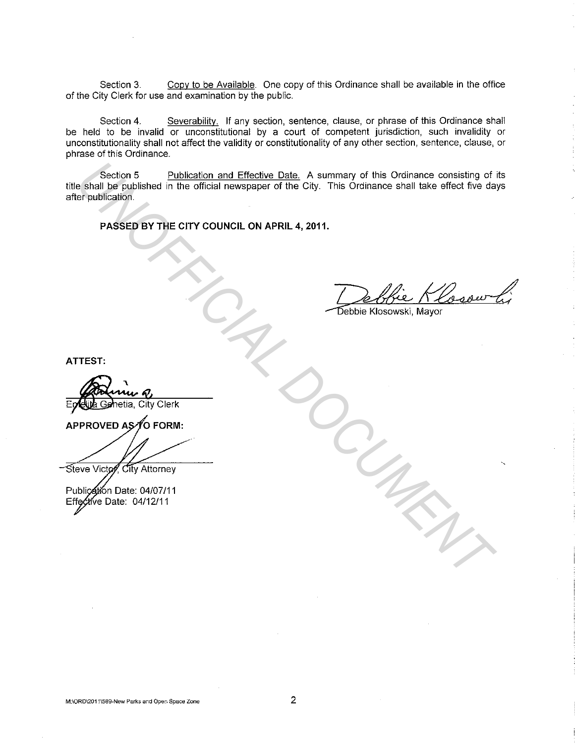Section 3. Copy to be Available. One copy of this Ordinance shall be available in the office of the City Clerk for use and examination by the public.

Section 4. Severability. If any section, sentence, clause, or phrase of this Ordinance shall be held to be invalid or unconstitutional by a court of competent jurisdiction, such invalidity or unconstitutionality shall not affect the validity or constitutionality of any other section, sentence, clause, or phrase of this Ordinance.

Section 5 Publication and Effective Date. A summary of this Ordinance consisting of its title shall be published in the official newspaper of the City. This Ordinance shall take effect five days after publication. **Example Section 5**<br> **Example Section and Effective Date** A summary of this Ordinance consisting of<br> **Example Section**<br> **PASSED BY THE CITY COUNCIL ON APRIL 4, 2011.**<br> **PASSED BY THE CITY COUNCIL ON APRIL 4, 2011.**<br>
PASSED

**PASSED BY THE CITY COUNCIL ON APRIL 4, 2011.** 

**ATTEST:**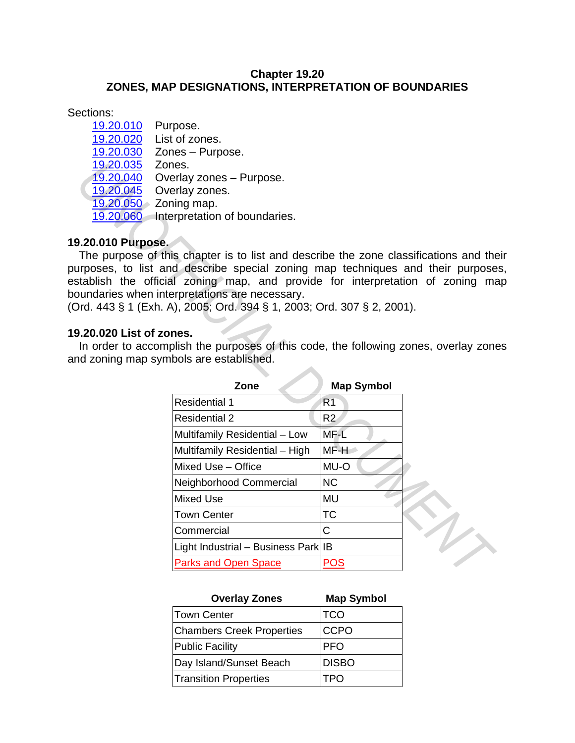# **Chapter 19.20 ZONES, MAP DESIGNATIONS, INTERPRETATION OF BOUNDARIES**

Sections:

19.20.010 Purpose. 19.20.020 List of zones. 19.20.030 Zones – Purpose. 19.20.035 Zones. 19.20.040 Overlay zones - Purpose. 19.20.045 Overlay zones. 19.20.050 Zoning map. 19.20.060 Interpretation of boundaries.

# **19.20.010 Purpose.**

The purpose of this chapter is to list and describe the zone classifications and their purposes, to list and describe special zoning map techniques and their purposes, establish the official zoning map, and provide for interpretation of zoning map boundaries when interpretations are necessary.

### **19.20.020 List of zones.**

In order to accomplish the purposes of this code, the following zones, overlay zones and zoning map symbols are established.

| 19.20.035<br>19.20.040<br>19.20.045<br>$19.20.050 \times$ Zoning map.<br>9.20.010 Purpose. | Zones.<br>Overlay zones - Purpose.<br>Overlay zones.<br>19.20.060 Interpretation of boundaries.<br>The purpose of this chapter is to list and describe the zone classifications and the<br>urposes, to list and describe special zoning map techniques and their purpose<br>stablish the official zoning map, and provide for interpretation of zoning ma<br>bundaries when interpretations are necessary. |                   |  |
|--------------------------------------------------------------------------------------------|------------------------------------------------------------------------------------------------------------------------------------------------------------------------------------------------------------------------------------------------------------------------------------------------------------------------------------------------------------------------------------------------------------|-------------------|--|
|                                                                                            | 0rd. 443 § 1 (Exh. A), 2005; Ord. 394 § 1, 2003; Ord. 307 § 2, 2001).                                                                                                                                                                                                                                                                                                                                      |                   |  |
| 9.20.020 List of zones.                                                                    | In order to accomplish the purposes of this code, the following zones, overlay zone<br>nd zoning map symbols are established.                                                                                                                                                                                                                                                                              |                   |  |
|                                                                                            | Zone                                                                                                                                                                                                                                                                                                                                                                                                       | <b>Map Symbol</b> |  |
|                                                                                            | <b>Residential 1</b>                                                                                                                                                                                                                                                                                                                                                                                       | R <sub>1</sub>    |  |
|                                                                                            | <b>Residential 2</b>                                                                                                                                                                                                                                                                                                                                                                                       | R2                |  |
|                                                                                            | Multifamily Residential - Low                                                                                                                                                                                                                                                                                                                                                                              | MF-L              |  |
|                                                                                            | Multifamily Residential - High                                                                                                                                                                                                                                                                                                                                                                             | MF-H              |  |
|                                                                                            | Mixed Use - Office                                                                                                                                                                                                                                                                                                                                                                                         | MU-O              |  |
|                                                                                            | Neighborhood Commercial                                                                                                                                                                                                                                                                                                                                                                                    | <b>NC</b>         |  |
|                                                                                            | <b>Mixed Use</b>                                                                                                                                                                                                                                                                                                                                                                                           | MU                |  |
|                                                                                            | <b>Town Center</b>                                                                                                                                                                                                                                                                                                                                                                                         | <b>TC</b>         |  |
|                                                                                            | Commercial                                                                                                                                                                                                                                                                                                                                                                                                 | Ć                 |  |
|                                                                                            | Light Industrial - Business Park IB                                                                                                                                                                                                                                                                                                                                                                        |                   |  |
|                                                                                            | <b>Parks and Open Space</b>                                                                                                                                                                                                                                                                                                                                                                                | <u>POS</u>        |  |
|                                                                                            |                                                                                                                                                                                                                                                                                                                                                                                                            |                   |  |

| <b>Overlay Zones</b>             | <b>Map Symbol</b> |
|----------------------------------|-------------------|
| Town Center                      | <b>TCO</b>        |
| <b>Chambers Creek Properties</b> | <b>CCPO</b>       |
| <b>Public Facility</b>           | <b>PFO</b>        |
| Day Island/Sunset Beach          | <b>DISBO</b>      |
| <b>Transition Properties</b>     | <b>TPO</b>        |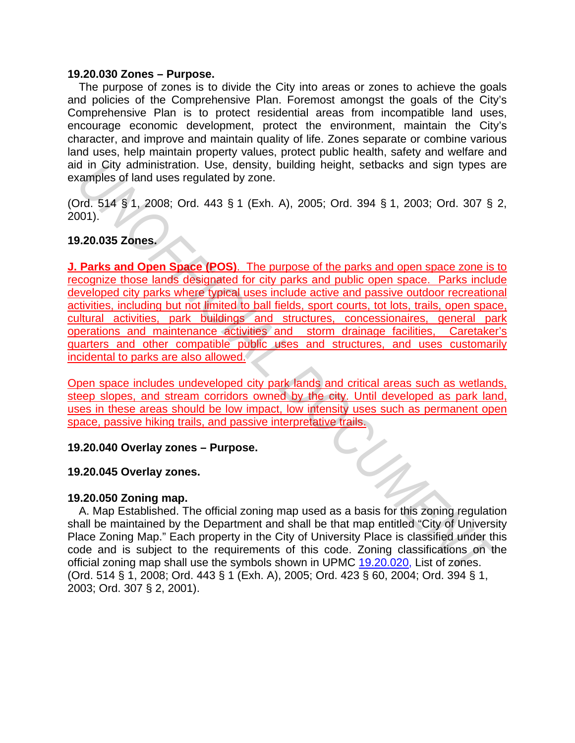#### **19.20.030 Zones – Purpose.**

The purpose of zones is to divide the City into areas or zones to achieve the goals and policies of the Comprehensive Plan. Foremost amongst the goals of the City's Comprehensive Plan is to protect residential areas from incompatible land uses, encourage economic development, protect the environment, maintain the City's character, and improve and maintain quality of life. Zones separate or combine various land uses, help maintain property values, protect public health, safety and welfare and aid in City administration. Use, density, building height, setbacks and sign types are examples of land uses regulated by zone.

(Ord. 514 § 1, 2008; Ord. 443 § 1 (Exh. A), 2005; Ord. 394 § 1, 2003; Ord. 307 § 2, 2001).

# **19.20.035 Zones.**

**J. Parks and Open Space (POS)**. The purpose of the parks and open space zone is to recognize those lands designated for city parks and public open space. Parks include developed city parks where typical uses include active and passive outdoor recreational activities, including but not limited to ball fields, sport courts, tot lots, trails, open space, cultural activities, park buildings and structures, concessionaires, general park operations and maintenance activities and storm drainage facilities, Caretaker's quarters and other compatible public uses and structures, and uses customarily incidental to parks are also allowed. d in City administration. Use, density, building height, setbacks and sign types a<br>
dim City administration. Use, density, building height, setbacks and sign types a<br>
2003; Ord. 307 §<br>
2003; Ord. 307 §<br>
2003; Ord. 307 §<br>
2

Open space includes undeveloped city park lands and critical areas such as wetlands, steep slopes, and stream corridors owned by the city. Until developed as park land, uses in these areas should be low impact, low intensity uses such as permanent open space, passive hiking trails, and passive interpretative trails.

### **19.20.040 Overlay zones – Purpose.**

### **19.20.045 Overlay zones.**

### **19.20.050 Zoning map.**

A. Map Established. The official zoning map used as a basis for this zoning regulation shall be maintained by the Department and shall be that map entitled "City of University Place Zoning Map." Each property in the City of University Place is classified under this code and is subject to the requirements of this code. Zoning classifications on the official zoning map shall use the symbols shown in UPMC 19.20.020, List of zones. (Ord. 514 § 1, 2008; Ord. 443 § 1 (Exh. A), 2005; Ord. 423 § 60, 2004; Ord. 394 § 1, 2003; Ord. 307 § 2, 2001).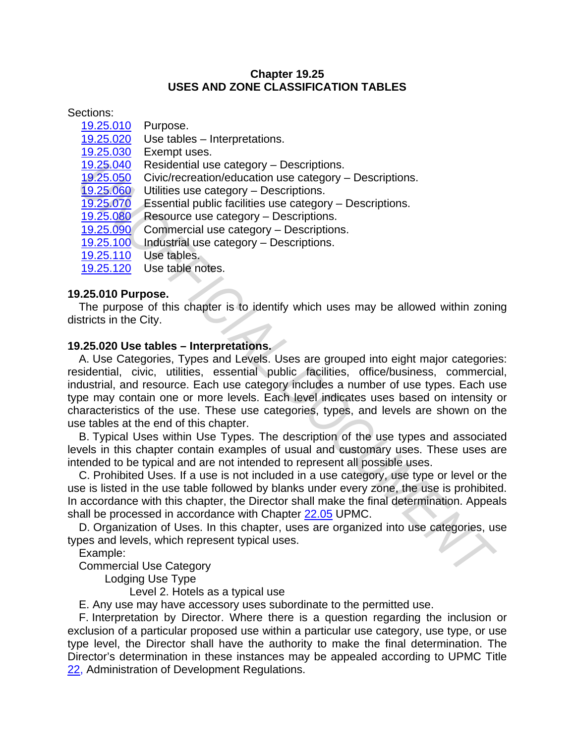# **Chapter 19.25 USES AND ZONE CLASSIFICATION TABLES**

Sections:

- 19.25.010 Purpose.
- 19.25.020 Use tables Interpretations.
- 19.25.030 Exempt uses.
- 19.25.040 Residential use category Descriptions.
- 19.25.050 Civic/recreation/education use category Descriptions.<br>19.25.060 Utilities use category Descriptions.
- Utilities use category Descriptions.
- 19.25.070 Essential public facilities use category Descriptions.
- 19.25.080 Resource use category Descriptions.
- 19.25.090 Commercial use category Descriptions.
- 19.25.100 Industrial use category Descriptions.
- 19.25.110 Use tables.
- 19.25.120 Use table notes.

# **19.25.010 Purpose.**

The purpose of this chapter is to identify which uses may be allowed within zoning districts in the City.

# **19.25.020 Use tables – Interpretations.**

A. Use Categories, Types and Levels. Uses are grouped into eight major categories: residential, civic, utilities, essential public facilities, office/business, commercial, industrial, and resource. Each use category includes a number of use types. Each use type may contain one or more levels. Each level indicates uses based on intensity or characteristics of the use. These use categories, types, and levels are shown on the use tables at the end of this chapter. 19.25.050 Contriguential use category - Descriptions.<br>
19.25.050 Civic/recreation/education use category - Descriptions.<br>
19.25.050 Civic/recreation/education use category - Descriptions.<br>
19.25.090 Essential public facili

B. Typical Uses within Use Types. The description of the use types and associated levels in this chapter contain examples of usual and customary uses. These uses are intended to be typical and are not intended to represent all possible uses.

C. Prohibited Uses. If a use is not included in a use category, use type or level or the use is listed in the use table followed by blanks under every zone, the use is prohibited. In accordance with this chapter, the Director shall make the final determination. Appeals shall be processed in accordance with Chapter 22.05 UPMC.

D. Organization of Uses. In this chapter, uses are organized into use categories, use types and levels, which represent typical uses.

Example:

Commercial Use Category

Lodging Use Type

Level 2. Hotels as a typical use

E. Any use may have accessory uses subordinate to the permitted use.

F. Interpretation by Director. Where there is a question regarding the inclusion or exclusion of a particular proposed use within a particular use category, use type, or use type level, the Director shall have the authority to make the final determination. The Director's determination in these instances may be appealed according to UPMC Title 22, Administration of Development Regulations.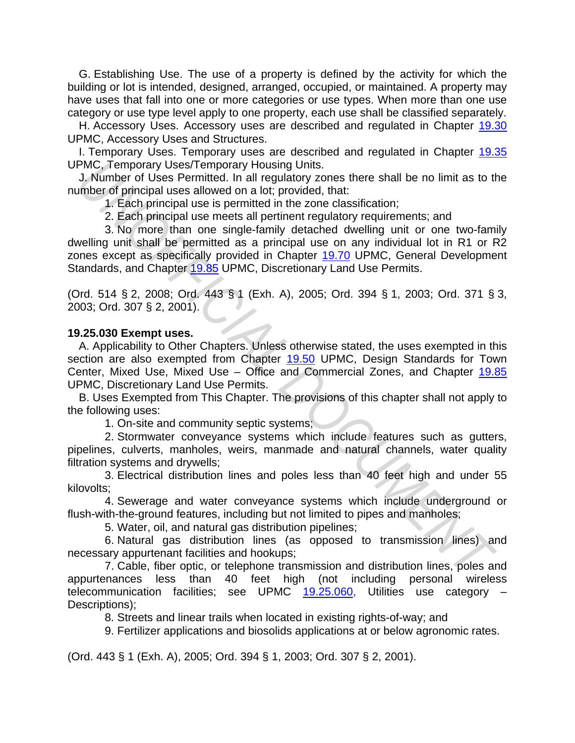G. Establishing Use. The use of a property is defined by the activity for which the building or lot is intended, designed, arranged, occupied, or maintained. A property may have uses that fall into one or more categories or use types. When more than one use category or use type level apply to one property, each use shall be classified separately.

H. Accessory Uses. Accessory uses are described and regulated in Chapter 19.30 UPMC, Accessory Uses and Structures.

I. Temporary Uses. Temporary uses are described and regulated in Chapter 19.35 UPMC, Temporary Uses/Temporary Housing Units.

J. Number of Uses Permitted. In all regulatory zones there shall be no limit as to the number of principal uses allowed on a lot; provided, that:

1. Each principal use is permitted in the zone classification;

2. Each principal use meets all pertinent regulatory requirements; and

3. No more than one single-family detached dwelling unit or one two-family dwelling unit shall be permitted as a principal use on any individual lot in R1 or R2 zones except as specifically provided in Chapter 19.70 UPMC, General Development Standards, and Chapter 19.85 UPMC, Discretionary Land Use Permits.

(Ord. 514 § 2, 2008; Ord. 443 § 1 (Exh. A), 2005; Ord. 394 § 1, 2003; Ord. 371 § 3, 2003; Ord. 307 § 2, 2001).

### **19.25.030 Exempt uses.**

A. Applicability to Other Chapters. Unless otherwise stated, the uses exempted in this section are also exempted from Chapter 19.50 UPMC, Design Standards for Town Center, Mixed Use, Mixed Use – Office and Commercial Zones, and Chapter 19.85 UPMC, Discretionary Land Use Permits. PMC, Temporary Uses/Temporary Housing Units.<br> **J. Number of Uses Permitted.** In all regulatory zones there shall be no limit as to the<br>
unber of principal uses allowed on a lot; provided, that:<br>
1. Each principal uses in g

B. Uses Exempted from This Chapter. The provisions of this chapter shall not apply to the following uses:

1. On-site and community septic systems;

2. Stormwater conveyance systems which include features such as gutters, pipelines, culverts, manholes, weirs, manmade and natural channels, water quality filtration systems and drywells;

3. Electrical distribution lines and poles less than 40 feet high and under 55 kilovolts;

4. Sewerage and water conveyance systems which include underground or flush-with-the-ground features, including but not limited to pipes and manholes;

5. Water, oil, and natural gas distribution pipelines;

6. Natural gas distribution lines (as opposed to transmission lines) and necessary appurtenant facilities and hookups;

7. Cable, fiber optic, or telephone transmission and distribution lines, poles and appurtenances less than 40 feet high (not including personal wireless telecommunication facilities; see UPMC 19.25.060, Utilities use category – Descriptions);

8. Streets and linear trails when located in existing rights-of-way; and

9. Fertilizer applications and biosolids applications at or below agronomic rates.

(Ord. 443 § 1 (Exh. A), 2005; Ord. 394 § 1, 2003; Ord. 307 § 2, 2001).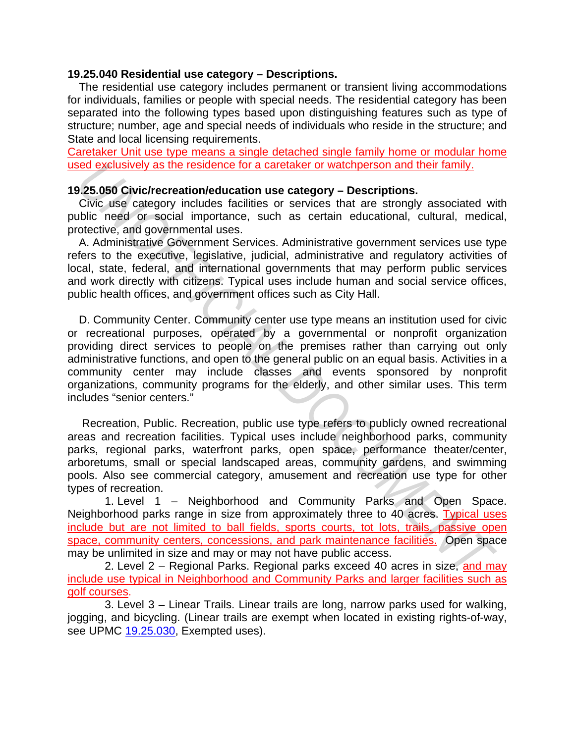#### **19.25.040 Residential use category – Descriptions.**

The residential use category includes permanent or transient living accommodations for individuals, families or people with special needs. The residential category has been separated into the following types based upon distinguishing features such as type of structure; number, age and special needs of individuals who reside in the structure; and State and local licensing requirements.

Caretaker Unit use type means a single detached single family home or modular home used exclusively as the residence for a caretaker or watchperson and their family.

### **19.25.050 Civic/recreation/education use category – Descriptions.**

Civic use category includes facilities or services that are strongly associated with public need or social importance, such as certain educational, cultural, medical, protective, and governmental uses.

A. Administrative Government Services. Administrative government services use type refers to the executive, legislative, judicial, administrative and regulatory activities of local, state, federal, and international governments that may perform public services and work directly with citizens. Typical uses include human and social service offices, public health offices, and government offices such as City Hall.

D. Community Center. Community center use type means an institution used for civic or recreational purposes, operated by a governmental or nonprofit organization providing direct services to people on the premises rather than carrying out only administrative functions, and open to the general public on an equal basis. Activities in a community center may include classes and events sponsored by nonprofit organizations, community programs for the elderly, and other similar uses. This term includes "senior centers." **Example of the solution of the solution of the solution of the solution of the solution of Civic use category includes facilities or services that are strongly associated with the correct of correct stand and governmental** 

 Recreation, Public. Recreation, public use type refers to publicly owned recreational areas and recreation facilities. Typical uses include neighborhood parks, community parks, regional parks, waterfront parks, open space, performance theater/center, arboretums, small or special landscaped areas, community gardens, and swimming pools. Also see commercial category, amusement and recreation use type for other types of recreation.

1. Level 1 – Neighborhood and Community Parks and Open Space. Neighborhood parks range in size from approximately three to 40 acres. Typical uses include but are not limited to ball fields, sports courts, tot lots, trails, passive open space, community centers, concessions, and park maintenance facilities. Open space may be unlimited in size and may or may not have public access.

2. Level 2 – Regional Parks. Regional parks exceed 40 acres in size, and may include use typical in Neighborhood and Community Parks and larger facilities such as golf courses.

3. Level 3 – Linear Trails. Linear trails are long, narrow parks used for walking, jogging, and bicycling. (Linear trails are exempt when located in existing rights-of-way, see UPMC 19.25.030, Exempted uses).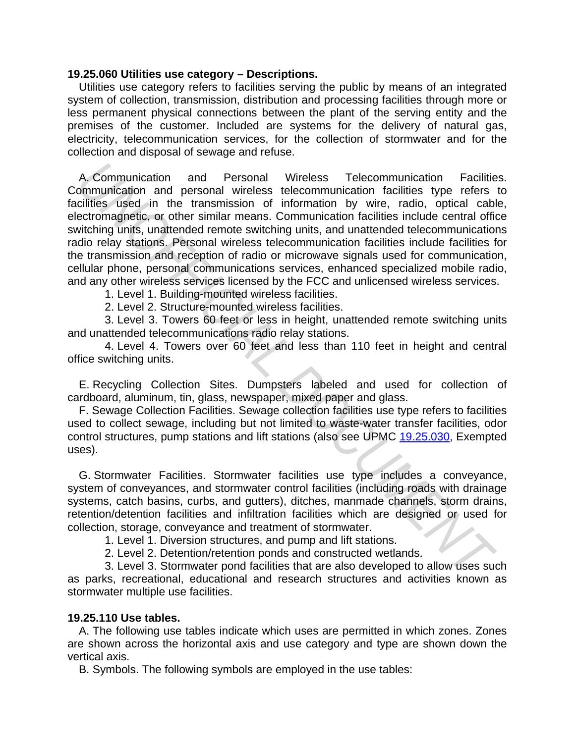#### **19.25.060 Utilities use category – Descriptions.**

Utilities use category refers to facilities serving the public by means of an integrated system of collection, transmission, distribution and processing facilities through more or less permanent physical connections between the plant of the serving entity and the premises of the customer. Included are systems for the delivery of natural gas, electricity, telecommunication services, for the collection of stormwater and for the collection and disposal of sewage and refuse.

A. Communication and Personal Wireless Telecommunication Facilities. Communication and personal wireless telecommunication facilities type refers to facilities used in the transmission of information by wire, radio, optical cable, electromagnetic, or other similar means. Communication facilities include central office switching units, unattended remote switching units, and unattended telecommunications radio relay stations. Personal wireless telecommunication facilities include facilities for the transmission and reception of radio or microwave signals used for communication, cellular phone, personal communications services, enhanced specialized mobile radio, and any other wireless services licensed by the FCC and unlicensed wireless services. A. Communication and Personal Wireless Telecommunication Facilities<br>
communication and personal wireless telecommunication facilities itsell<br>
dictrimagnities is eddicated and the formation in information is wirely, radio,

1. Level 1. Building-mounted wireless facilities.

2. Level 2. Structure-mounted wireless facilities.

3. Level 3. Towers 60 feet or less in height, unattended remote switching units and unattended telecommunications radio relay stations.

4. Level 4. Towers over 60 feet and less than 110 feet in height and central office switching units.

E. Recycling Collection Sites. Dumpsters labeled and used for collection of cardboard, aluminum, tin, glass, newspaper, mixed paper and glass.

F. Sewage Collection Facilities. Sewage collection facilities use type refers to facilities used to collect sewage, including but not limited to waste-water transfer facilities, odor control structures, pump stations and lift stations (also see UPMC 19.25.030, Exempted uses).

G. Stormwater Facilities. Stormwater facilities use type includes a conveyance, system of conveyances, and stormwater control facilities (including roads with drainage systems, catch basins, curbs, and gutters), ditches, manmade channels, storm drains, retention/detention facilities and infiltration facilities which are designed or used for collection, storage, conveyance and treatment of stormwater.

1. Level 1. Diversion structures, and pump and lift stations.

2. Level 2. Detention/retention ponds and constructed wetlands.

3. Level 3. Stormwater pond facilities that are also developed to allow uses such as parks, recreational, educational and research structures and activities known as stormwater multiple use facilities.

### **19.25.110 Use tables.**

A. The following use tables indicate which uses are permitted in which zones. Zones are shown across the horizontal axis and use category and type are shown down the vertical axis.

B. Symbols. The following symbols are employed in the use tables: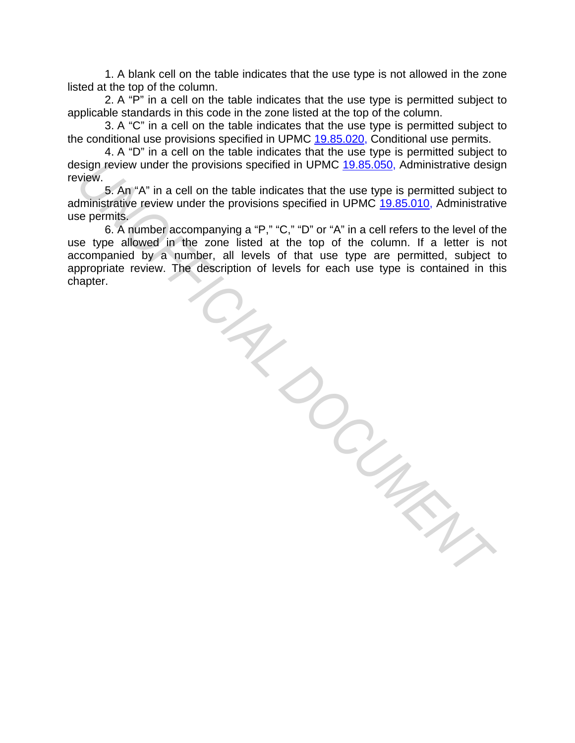1. A blank cell on the table indicates that the use type is not allowed in the zone listed at the top of the column.

2. A "P" in a cell on the table indicates that the use type is permitted subject to applicable standards in this code in the zone listed at the top of the column.

3. A "C" in a cell on the table indicates that the use type is permitted subject to the conditional use provisions specified in UPMC 19.85.020, Conditional use permits.

4. A "D" in a cell on the table indicates that the use type is permitted subject to design review under the provisions specified in UPMC 19.85.050, Administrative design review.

5. An "A" in a cell on the table indicates that the use type is permitted subject to administrative review under the provisions specified in UPMC 19.85.010, Administrative use permits.

6. A number accompanying a "P," "C," "D" or "A" in a cell refers to the level of the use type allowed in the zone listed at the top of the column. If a letter is not accompanied by a number, all levels of that use type are permitted, subject to appropriate review. The description of levels for each use type is contained in this chapter. chapter.

*UNOFFICIAL DOCUMENT*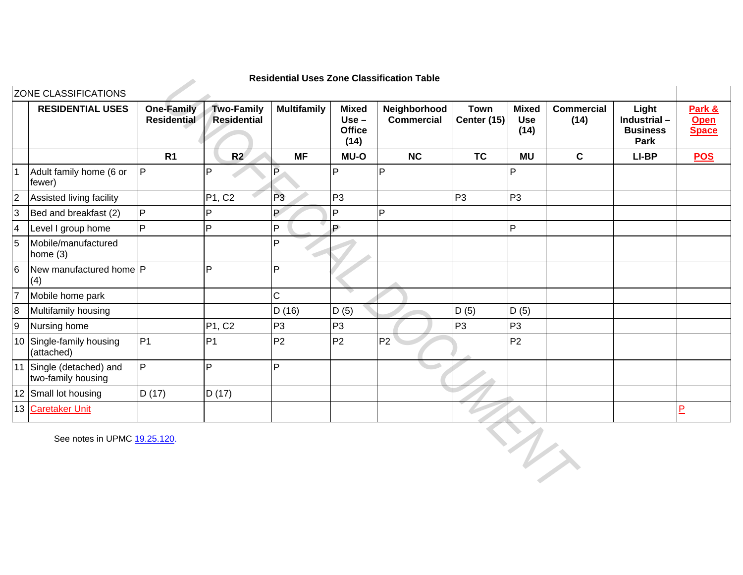|                |                                                |                                         |                                         |                    |                                                  | Residential Uses Zone Classification Table |                              |                                    |                           |                                                 |                                       |
|----------------|------------------------------------------------|-----------------------------------------|-----------------------------------------|--------------------|--------------------------------------------------|--------------------------------------------|------------------------------|------------------------------------|---------------------------|-------------------------------------------------|---------------------------------------|
|                | ZONE CLASSIFICATIONS                           |                                         |                                         |                    |                                                  |                                            |                              |                                    |                           |                                                 |                                       |
|                | <b>RESIDENTIAL USES</b>                        | <b>One-Family</b><br><b>Residential</b> | <b>Two-Family</b><br><b>Residential</b> | <b>Multifamily</b> | <b>Mixed</b><br>$Use -$<br><b>Office</b><br>(14) | Neighborhood<br><b>Commercial</b>          | <b>Town</b><br>Center $(15)$ | <b>Mixed</b><br><b>Use</b><br>(14) | <b>Commercial</b><br>(14) | Light<br>Industrial-<br><b>Business</b><br>Park | Park &<br><b>Open</b><br><b>Space</b> |
|                |                                                | R <sub>1</sub>                          | R2                                      | <b>MF</b>          | <b>MU-O</b>                                      | <b>NC</b>                                  | <b>TC</b>                    | <b>MU</b>                          | $\mathbf c$               | LI-BP                                           | <b>POS</b>                            |
|                | Adult family home (6 or<br>fewer)              | $\overline{P}$                          | P                                       | $\overline{P}$     | P                                                | P                                          |                              | P                                  |                           |                                                 |                                       |
| $\overline{2}$ | Assisted living facility                       |                                         | P1, C2                                  | P <sub>3</sub>     | P <sub>3</sub>                                   |                                            | P <sub>3</sub>               | P <sub>3</sub>                     |                           |                                                 |                                       |
| 3              | Bed and breakfast (2)                          | P                                       | P                                       | P                  | $\mathsf{P}$                                     | P                                          |                              |                                    |                           |                                                 |                                       |
| $\overline{4}$ | Level I group home                             | $\overline{P}$                          | P                                       | P                  | P                                                |                                            |                              | $\overline{P}$                     |                           |                                                 |                                       |
| 5              | Mobile/manufactured<br>home $(3)$              |                                         |                                         | P                  |                                                  |                                            |                              |                                    |                           |                                                 |                                       |
| 6              | New manufactured home P<br>(4)                 |                                         | P                                       | P                  |                                                  |                                            |                              |                                    |                           |                                                 |                                       |
| 17             | Mobile home park                               |                                         |                                         | $\mathsf{C}$       |                                                  |                                            |                              |                                    |                           |                                                 |                                       |
| $\overline{8}$ | Multifamily housing                            |                                         |                                         | D(16)              | D(5)                                             |                                            | D(5)                         | D(5)                               |                           |                                                 |                                       |
| $\overline{9}$ | Nursing home                                   |                                         | P1, C2                                  | P <sub>3</sub>     | P <sub>3</sub>                                   |                                            | P <sub>3</sub>               | P <sub>3</sub>                     |                           |                                                 |                                       |
|                | 10 Single-family housing<br>(attached)         | P <sub>1</sub>                          | P <sub>1</sub>                          | P <sub>2</sub>     | P <sub>2</sub>                                   | P <sub>2</sub>                             |                              | P <sub>2</sub>                     |                           |                                                 |                                       |
|                | 11 Single (detached) and<br>two-family housing | $\overline{P}$                          | P                                       | P                  |                                                  |                                            |                              |                                    |                           |                                                 |                                       |
|                | 12 Small lot housing                           | D (17)                                  | D(17)                                   |                    |                                                  |                                            |                              |                                    |                           |                                                 |                                       |
|                | 13 Caretaker Unit                              |                                         |                                         |                    |                                                  |                                            |                              |                                    |                           |                                                 | $\overline{P}$                        |
|                | See notes in UPMC 19.25.120.                   |                                         |                                         |                    |                                                  |                                            |                              |                                    | $\ddot{v}$                |                                                 |                                       |

**Residential Uses Zone Classification Table**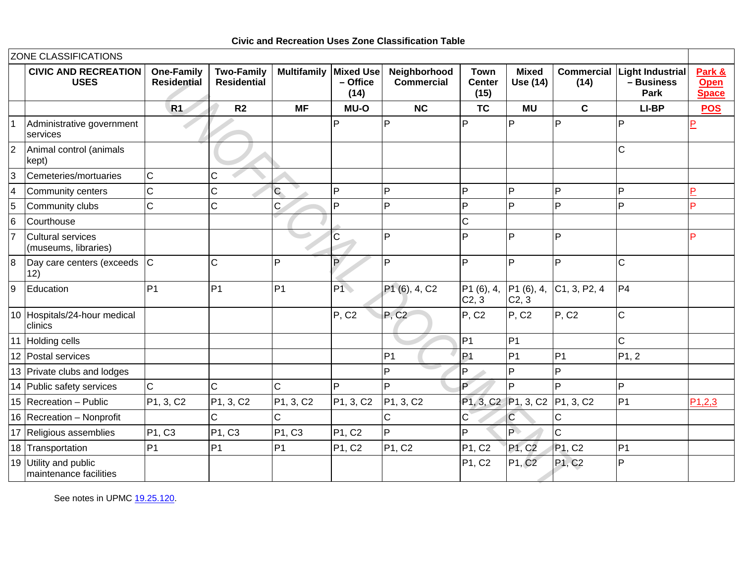|                | ZONE CLASSIFICATIONS                            |                                         |                                         |                                 |                                      |                                       |                                      |                                 |                           |                                               |                                       |
|----------------|-------------------------------------------------|-----------------------------------------|-----------------------------------------|---------------------------------|--------------------------------------|---------------------------------------|--------------------------------------|---------------------------------|---------------------------|-----------------------------------------------|---------------------------------------|
|                | <b>CIVIC AND RECREATION</b><br><b>USES</b>      | <b>One-Family</b><br><b>Residential</b> | <b>Two-Family</b><br><b>Residential</b> | <b>Multifamily</b>              | <b>Mixed Use</b><br>- Office<br>(14) | Neighborhood<br><b>Commercial</b>     | <b>Town</b><br><b>Center</b><br>(15) | <b>Mixed</b><br>Use (14)        | <b>Commercial</b><br>(14) | <b>Light Industrial</b><br>- Business<br>Park | Park &<br><b>Open</b><br><b>Space</b> |
|                |                                                 | <b>R1</b>                               | R <sub>2</sub>                          | <b>MF</b>                       | <b>MU-O</b>                          | <b>NC</b>                             | <b>TC</b>                            | <b>MU</b>                       | $\mathbf{C}$              | LI-BP                                         | <b>POS</b>                            |
|                | Administrative government<br>services           |                                         |                                         |                                 | P                                    | P                                     | D                                    | P                               | P                         | P                                             |                                       |
| $\overline{2}$ | Animal control (animals<br>kept)                |                                         |                                         |                                 |                                      |                                       |                                      |                                 |                           | $\mathsf{C}$                                  |                                       |
| 3              | Cemeteries/mortuaries                           | $\overline{C}$                          | C                                       |                                 |                                      |                                       |                                      |                                 |                           |                                               |                                       |
| $\overline{4}$ | Community centers                               | $\overline{C}$                          | C                                       | Ċ                               | P                                    | P                                     | <b>P</b>                             | $\overline{P}$                  | P                         | P                                             | P                                     |
| 5              | Community clubs                                 | $\mathsf{C}$                            | $\overline{C}$                          | Ċ                               | P                                    | Þ                                     | Þ                                    | P                               | P.                        | P                                             | Þ                                     |
| 6              | Courthouse                                      |                                         |                                         |                                 |                                      |                                       | $\mathsf{C}$                         |                                 |                           |                                               |                                       |
| 17             | Cultural services<br>(museums, libraries)       |                                         |                                         |                                 | $\overline{C}$                       | P                                     | D                                    | P                               | P                         |                                               |                                       |
| $\overline{8}$ | Day care centers (exceeds<br>12)                | $\overline{C}$                          | C                                       | P                               | $\mathsf{P}$                         | Þ                                     | P                                    | P                               | P                         | $\mathsf{C}$                                  |                                       |
| 9              | Education                                       | P <sub>1</sub>                          | P <sub>1</sub>                          | P <sub>1</sub>                  | $ P1\rangle$                         | P <sub>1</sub> (6), 4, C <sub>2</sub> | P1(6), 4,<br>C <sub>2</sub> , 3      | P1(6), 4,<br>C <sub>2</sub> , 3 | C1, 3, P2, 4              | P4                                            |                                       |
|                | 10 Hospitals/24-hour medical<br>clinics         |                                         |                                         |                                 | <b>P. C2</b>                         | P, C2                                 | P, C <sub>2</sub>                    | P, C2                           | <b>P. C2</b>              | $\mathsf{C}$                                  |                                       |
|                | Holding cells                                   |                                         |                                         |                                 |                                      |                                       | P <sub>1</sub>                       | P1                              |                           | $\mathsf{C}$                                  |                                       |
|                | 12 Postal services                              |                                         |                                         |                                 |                                      | P <sub>1</sub>                        | P <sub>1</sub>                       | P1                              | P <sub>1</sub>            | P <sub>1</sub> , 2                            |                                       |
|                | 13 Private clubs and lodges                     |                                         |                                         |                                 |                                      | Þ                                     | P                                    | $\overline{P}$                  | P                         |                                               |                                       |
|                | 14 Public safety services                       | $\overline{C}$                          | $\mathsf C$                             | $\mathsf{C}$                    | P                                    | Þ                                     | Đ.                                   | P                               | P.                        | $\overline{P}$                                |                                       |
|                | 15 Recreation - Public                          | P1, 3, C2                               | P1, 3, C2                               | P1, 3, C2                       | P <sub>1</sub> , 3, C <sub>2</sub>   | P <sub>1</sub> , 3, C <sub>2</sub>    |                                      | P1, 3, C2 P1, 3, C2 P1, 3, C2   |                           | P <sub>1</sub>                                | P1,2,3                                |
|                | 16 Recreation - Nonprofit                       |                                         | C                                       | $\mathsf{C}$                    |                                      | $\mathsf{C}$                          | $\mathbf{C}$                         | C                               | C                         |                                               |                                       |
|                | 17 Religious assemblies                         | P1, C3                                  | P1, C3                                  | P <sub>1</sub> , C <sub>3</sub> | P1, C2                               | P                                     | P                                    | $ {\mathsf P}\rangle$           | $\mathsf{C}$              |                                               |                                       |
|                | 18 Transportation                               | P <sub>1</sub>                          | P <sub>1</sub>                          | P <sub>1</sub>                  | P1, C2                               | P1, C2                                | P1, C2                               | P1, C2                          | P1, C2                    | P1                                            |                                       |
|                | 19 Utility and public<br>maintenance facilities |                                         |                                         |                                 |                                      |                                       | P1, C2                               | P1, C2                          | P1, C2                    | P                                             |                                       |

See notes in UPMC 19.25.120.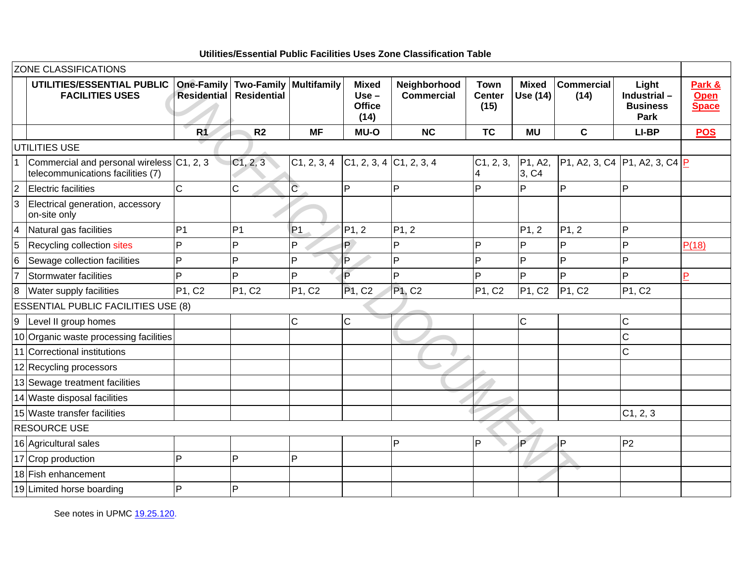| Utilities/Essential Public Facilities Uses Zone Classification Table |  |  |
|----------------------------------------------------------------------|--|--|
|                                                                      |  |  |

|                | <b>ZONE CLASSIFICATIONS</b>                                                    |                                         |                                                     |                                     |                                                  |                                   |                                      |                                            |                           |                                                 |                                       |
|----------------|--------------------------------------------------------------------------------|-----------------------------------------|-----------------------------------------------------|-------------------------------------|--------------------------------------------------|-----------------------------------|--------------------------------------|--------------------------------------------|---------------------------|-------------------------------------------------|---------------------------------------|
|                | UTILITIES/ESSENTIAL PUBLIC<br><b>FACILITIES USES</b>                           | <b>One-Family</b><br><b>Residential</b> | <b>Two-Family Multifamily</b><br><b>Residential</b> |                                     | <b>Mixed</b><br>$Use -$<br><b>Office</b><br>(14) | Neighborhood<br><b>Commercial</b> | <b>Town</b><br><b>Center</b><br>(15) | <b>Mixed</b><br>Use (14)                   | <b>Commercial</b><br>(14) | Light<br>Industrial-<br><b>Business</b><br>Park | Park &<br><b>Open</b><br><b>Space</b> |
|                |                                                                                | R <sub>1</sub>                          | R <sub>2</sub>                                      | <b>MF</b>                           | <b>MU-O</b>                                      | <b>NC</b>                         | <b>TC</b>                            | <b>MU</b>                                  | $\mathbf c$               | LI-BP                                           | <b>POS</b>                            |
|                | UTILITIES USE                                                                  |                                         |                                                     |                                     |                                                  |                                   |                                      |                                            |                           |                                                 |                                       |
| $\mathbf 1$    | Commercial and personal wireless C1, 2, 3<br>telecommunications facilities (7) |                                         | C1, 2, 3                                            | C1, 2, 3, 4 C1, 2, 3, 4 C1, 2, 3, 4 |                                                  |                                   | C1, 2, 3,<br>4                       | P <sub>1</sub> , A <sub>2</sub> ,<br>3, C4 |                           | P1, A2, 3, C4  P1, A2, 3, C4  P                 |                                       |
| $\vert$ 2      | <b>Electric facilities</b>                                                     | $\mathsf C$                             | $\mathsf C$                                         | $\overline{C}$                      | P                                                | P                                 | P                                    | Þ                                          | P                         | P                                               |                                       |
| $\overline{3}$ | Electrical generation, accessory<br>on-site only                               |                                         |                                                     |                                     |                                                  |                                   |                                      |                                            |                           |                                                 |                                       |
| $\vert 4$      | Natural gas facilities                                                         | P <sub>1</sub>                          | P <sub>1</sub>                                      | P <sub>1</sub>                      | P1, 2                                            | P1, 2                             |                                      | PI, 2                                      | P1, 2                     | P                                               |                                       |
| 5              | Recycling collection sites                                                     | P                                       | P                                                   | P                                   | P.                                               | P                                 | P                                    | P                                          | P                         | P                                               | P(18)                                 |
| $\overline{6}$ | Sewage collection facilities                                                   | P                                       | P                                                   | P                                   | P                                                | $\overline{P}$                    | P                                    | P                                          | P                         | P                                               |                                       |
| $\overline{7}$ | <b>Stormwater facilities</b>                                                   | D                                       | Þ                                                   | P                                   | P                                                | P                                 | Þ                                    | Þ                                          | P                         | P                                               | P                                     |
| $\bf{8}$       | Water supply facilities                                                        | P1, C2                                  | P1, C2                                              | P1, C2                              | P <sub>1</sub> , C <sub>2</sub>                  | P <sub>1</sub> , C <sub>2</sub>   | P1, C2                               | P1, C2                                     | P1, C2                    | P1, C2                                          |                                       |
|                | <b>ESSENTIAL PUBLIC FACILITIES USE (8)</b>                                     |                                         |                                                     |                                     |                                                  |                                   |                                      |                                            |                           |                                                 |                                       |
| 9              | Level II group homes                                                           |                                         |                                                     | $\mathsf C$                         | $\mathsf{C}$                                     |                                   |                                      | $\mathsf{C}$                               |                           | C.                                              |                                       |
|                | 10 Organic waste processing facilities                                         |                                         |                                                     |                                     |                                                  |                                   |                                      |                                            |                           | $\mathsf{C}$                                    |                                       |
|                | 11 Correctional institutions                                                   |                                         |                                                     |                                     |                                                  |                                   |                                      |                                            |                           | $\mathsf{C}$                                    |                                       |
|                | 12 Recycling processors                                                        |                                         |                                                     |                                     |                                                  |                                   |                                      |                                            |                           |                                                 |                                       |
|                | 13 Sewage treatment facilities                                                 |                                         |                                                     |                                     |                                                  |                                   |                                      |                                            |                           |                                                 |                                       |
|                | 14 Waste disposal facilities                                                   |                                         |                                                     |                                     |                                                  |                                   |                                      |                                            |                           |                                                 |                                       |
|                | 15 Waste transfer facilities                                                   |                                         |                                                     |                                     |                                                  |                                   |                                      |                                            |                           | C1, 2, 3                                        |                                       |
|                | <b>RESOURCE USE</b>                                                            |                                         |                                                     |                                     |                                                  |                                   |                                      |                                            |                           |                                                 |                                       |
|                | 16 Agricultural sales                                                          |                                         |                                                     |                                     |                                                  | P                                 | $\overline{P}$                       | <b>P</b>                                   | P                         | P <sub>2</sub>                                  |                                       |
|                | 17 Crop production                                                             | P                                       | <b>P</b>                                            | P                                   |                                                  |                                   |                                      |                                            |                           |                                                 |                                       |
|                | 18 Fish enhancement                                                            |                                         |                                                     |                                     |                                                  |                                   |                                      |                                            |                           |                                                 |                                       |
|                | 19 Limited horse boarding                                                      | P                                       | P                                                   |                                     |                                                  |                                   |                                      |                                            |                           |                                                 |                                       |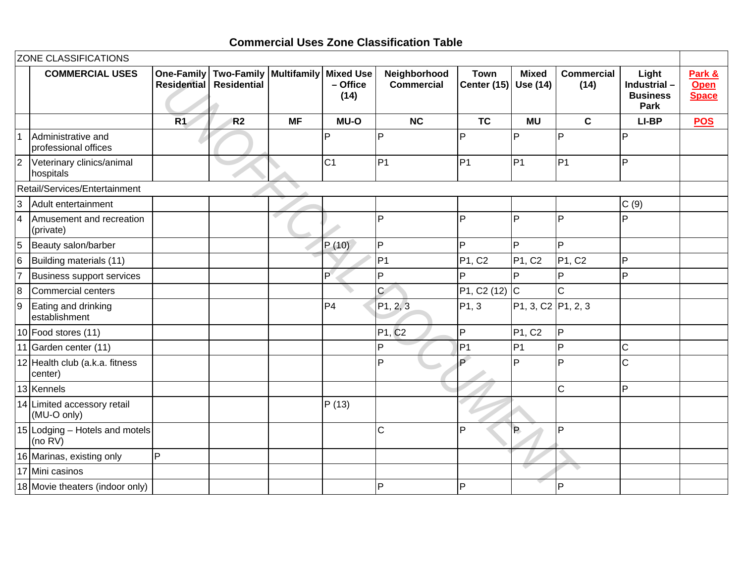### **Commercial Uses Zone Classification Table**

|                 | <b>ZONE CLASSIFICATIONS</b>                  |                    |                                                             |           |                                      |                                   |                            |                                                          |                                 |                                                 |                                       |
|-----------------|----------------------------------------------|--------------------|-------------------------------------------------------------|-----------|--------------------------------------|-----------------------------------|----------------------------|----------------------------------------------------------|---------------------------------|-------------------------------------------------|---------------------------------------|
|                 | <b>COMMERCIAL USES</b>                       | <b>Residential</b> | One-Family   Two-Family   Multifamily<br><b>Residential</b> |           | <b>Mixed Use</b><br>- Office<br>(14) | Neighborhood<br><b>Commercial</b> | <b>Town</b><br>Center (15) | <b>Mixed</b><br>Use (14)                                 | <b>Commercial</b><br>(14)       | Light<br>Industrial-<br><b>Business</b><br>Park | Park &<br><b>Open</b><br><b>Space</b> |
|                 |                                              | R <sub>1</sub>     | R <sub>2</sub>                                              | <b>MF</b> | <b>MU-O</b>                          | <b>NC</b>                         | <b>TC</b>                  | <b>MU</b>                                                | $\mathbf{C}$                    | LI-BP                                           | <b>POS</b>                            |
|                 | Administrative and<br>professional offices   |                    |                                                             |           | P                                    | P                                 | P                          | P                                                        | P                               | P                                               |                                       |
| 2               | Veterinary clinics/animal<br>hospitals       |                    |                                                             |           | C <sub>1</sub>                       | P <sub>1</sub>                    | P <sub>1</sub>             | P <sub>1</sub>                                           | P1                              | P                                               |                                       |
|                 | Retail/Services/Entertainment                |                    |                                                             |           |                                      |                                   |                            |                                                          |                                 |                                                 |                                       |
| $\overline{3}$  | Adult entertainment                          |                    |                                                             |           |                                      |                                   |                            |                                                          |                                 | C(9)                                            |                                       |
| $\overline{4}$  | Amusement and recreation<br>(private)        |                    |                                                             |           |                                      | P                                 | P                          | P                                                        | P                               | P                                               |                                       |
| 5               | Beauty salon/barber                          |                    |                                                             |           | P(10)                                | P                                 | P                          | P                                                        | P                               |                                                 |                                       |
| $6\phantom{.}6$ | Building materials (11)                      |                    |                                                             |           |                                      | P <sub>1</sub>                    | P1, C2                     | P1, C2                                                   | P <sub>1</sub> , C <sub>2</sub> | P                                               |                                       |
| 17              | <b>Business support services</b>             |                    |                                                             |           | P°                                   | $\mathsf{P}$                      | P                          | D                                                        | P                               | P                                               |                                       |
| $\overline{8}$  | Commercial centers                           |                    |                                                             |           |                                      | $\overline{C}$                    | P1, C2 (12) C              |                                                          | $\mathsf C$                     |                                                 |                                       |
| 9               | Eating and drinking<br>establishment         |                    |                                                             |           | P <sub>4</sub>                       | P1, 2, 3                          | P1, 3                      | P <sub>1</sub> , 3, C <sub>2</sub> P <sub>1</sub> , 2, 3 |                                 |                                                 |                                       |
|                 | 10 Food stores (11)                          |                    |                                                             |           |                                      | P1, C <sub>2</sub>                | P                          | P1, C2                                                   | $\mathsf{P}$                    |                                                 |                                       |
|                 | 11 Garden center (11)                        |                    |                                                             |           |                                      | $\overline{P}$                    | P <sub>1</sub>             | P <sub>1</sub>                                           | $\overline{P}$                  | C                                               |                                       |
|                 | 12 Health club (a.k.a. fitness<br>center)    |                    |                                                             |           |                                      | $\overline{P}$                    | Ď                          | P                                                        | P                               | $\overline{C}$                                  |                                       |
|                 | 13 Kennels                                   |                    |                                                             |           |                                      |                                   |                            |                                                          | $\mathsf{C}$                    | P                                               |                                       |
|                 | 14 Limited accessory retail<br>(MU-O only)   |                    |                                                             |           | P(13)                                |                                   |                            |                                                          |                                 |                                                 |                                       |
|                 | 15 Lodging - Hotels and motels<br>(no $RV$ ) |                    |                                                             |           |                                      | $\mathsf{C}$                      | P                          | P.                                                       | P                               |                                                 |                                       |
|                 | 16 Marinas, existing only                    | P                  |                                                             |           |                                      |                                   |                            |                                                          |                                 |                                                 |                                       |
|                 | 17 Mini casinos                              |                    |                                                             |           |                                      |                                   |                            |                                                          |                                 |                                                 |                                       |
|                 | 18 Movie theaters (indoor only)              |                    |                                                             |           |                                      | P                                 | P                          |                                                          | P                               |                                                 |                                       |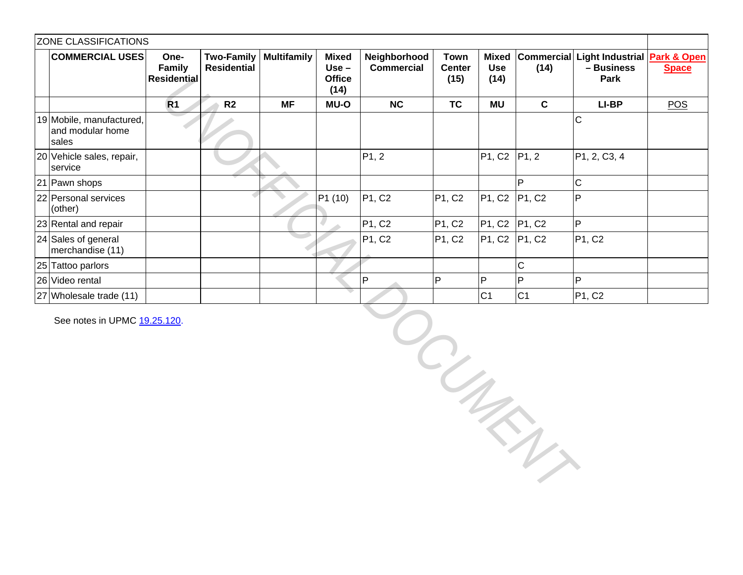|                                                       | One-<br>Family<br><b>Residential</b> | <b>Two-Family</b><br><b>Residential</b>                                               | <b>Multifamily</b> | <b>Mixed</b><br>$Use -$<br><b>Office</b><br>(14) | Neighborhood<br><b>Commercial</b> | <b>Town</b><br><b>Center</b><br>(15) | <b>Mixed</b><br><b>Use</b><br>(14) | (14)           | - Business<br>Park                                                       | <b>Space</b>                                                       |
|-------------------------------------------------------|--------------------------------------|---------------------------------------------------------------------------------------|--------------------|--------------------------------------------------|-----------------------------------|--------------------------------------|------------------------------------|----------------|--------------------------------------------------------------------------|--------------------------------------------------------------------|
|                                                       | R <sub>1</sub>                       | R <sub>2</sub>                                                                        | <b>MF</b>          | <b>MU-O</b>                                      | NC                                | <b>TC</b>                            | <b>MU</b>                          | $\mathbf c$    | LI-BP                                                                    | <b>POS</b>                                                         |
| 19 Mobile, manufactured,<br>and modular home<br>sales |                                      |                                                                                       |                    |                                                  |                                   |                                      |                                    |                | $\mathsf{C}$                                                             |                                                                    |
| 20 Vehicle sales, repair,<br>service                  |                                      |                                                                                       |                    |                                                  | P1, 2                             |                                      | P1, C2                             |                | P1, 2, C3, 4                                                             |                                                                    |
| 21 Pawn shops                                         |                                      |                                                                                       |                    |                                                  |                                   |                                      |                                    | P              | $\overline{C}$                                                           |                                                                    |
| 22 Personal services<br>(other)                       |                                      |                                                                                       |                    | P1 (10)                                          | P1, C2                            | P1, C2                               | P1, C2                             | P1, C2         | $\overline{P}$                                                           |                                                                    |
| 23 Rental and repair                                  |                                      |                                                                                       |                    |                                                  | P1, C2                            | PI, C2                               |                                    |                | $\overline{P}$                                                           |                                                                    |
| 24 Sales of general<br>merchandise (11)               |                                      |                                                                                       |                    |                                                  | P1, C2                            | P1, C2                               | P <sub>1</sub> , C <sub>2</sub>    | P1, C2         | P1, C2                                                                   |                                                                    |
| 25 Tattoo parlors                                     |                                      |                                                                                       |                    |                                                  |                                   |                                      |                                    | $\mathsf C$    |                                                                          |                                                                    |
| 26 Video rental                                       |                                      |                                                                                       |                    |                                                  | P                                 | P                                    | $\mathsf{P}$                       | P              | $\mathsf{P}$                                                             |                                                                    |
| 27 Wholesale trade (11)                               |                                      |                                                                                       |                    |                                                  |                                   |                                      | C <sub>1</sub>                     | C <sub>1</sub> | P1, C2                                                                   |                                                                    |
|                                                       |                                      |                                                                                       |                    |                                                  |                                   |                                      |                                    |                |                                                                          |                                                                    |
|                                                       |                                      | <b>ZONE CLASSIFICATIONS</b><br><b>COMMERCIAL USES</b><br>See notes in UPMC 19.25.120. |                    |                                                  |                                   |                                      |                                    |                | P1, 2<br>P <sub>1</sub> , C <sub>2</sub> P <sub>1</sub> , C <sub>2</sub> | <b>Commercial</b><br>Light Industrial Park & Open<br>$\frac{1}{2}$ |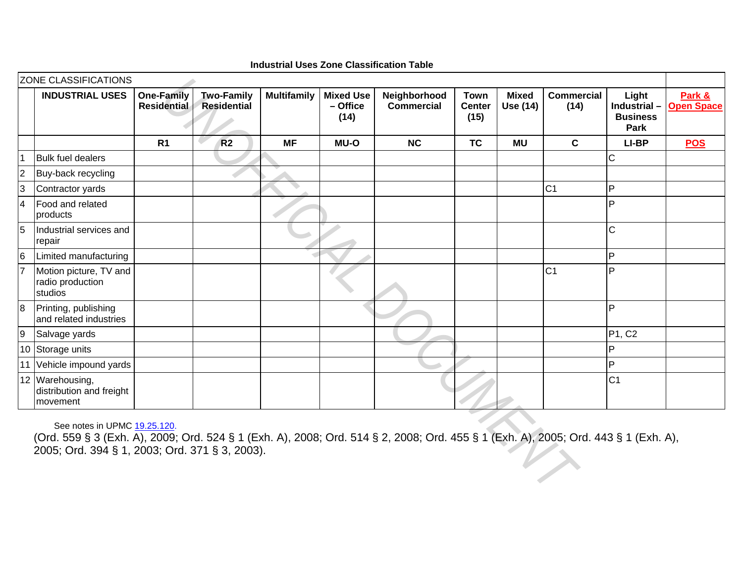|                 | <b>INDUSTRIAL USES</b>                                                                                                                                                                                               | <b>One-Family</b><br>Residential | <b>Two-Family</b><br><b>Residential</b> | <b>Multifamily</b> | <b>Mixed Use</b><br>- Office<br>(14) | Neighborhood<br><b>Commercial</b> | <b>Town</b><br><b>Center</b><br>(15) | <b>Mixed</b><br><b>Use (14)</b> | <b>Commercial</b><br>(14) | Light<br>Industrial-<br><b>Business</b><br><b>Park</b> | Park &<br><b>Open Space</b> |
|-----------------|----------------------------------------------------------------------------------------------------------------------------------------------------------------------------------------------------------------------|----------------------------------|-----------------------------------------|--------------------|--------------------------------------|-----------------------------------|--------------------------------------|---------------------------------|---------------------------|--------------------------------------------------------|-----------------------------|
|                 |                                                                                                                                                                                                                      | R <sub>1</sub>                   | R <sub>2</sub>                          | <b>MF</b>          | <b>MU-O</b>                          | <b>NC</b>                         | <b>TC</b>                            | <b>MU</b>                       | $\mathbf c$               | LI-BP                                                  | <b>POS</b>                  |
|                 | <b>Bulk fuel dealers</b>                                                                                                                                                                                             |                                  |                                         |                    |                                      |                                   |                                      |                                 |                           | C                                                      |                             |
| $\overline{2}$  | Buy-back recycling                                                                                                                                                                                                   |                                  |                                         |                    |                                      |                                   |                                      |                                 |                           |                                                        |                             |
| 3               | Contractor yards                                                                                                                                                                                                     |                                  |                                         |                    |                                      |                                   |                                      |                                 | C <sub>1</sub>            | P                                                      |                             |
| $\overline{4}$  | Food and related<br>products                                                                                                                                                                                         |                                  |                                         |                    |                                      |                                   |                                      |                                 |                           | P                                                      |                             |
| 5               | Industrial services and<br>repair                                                                                                                                                                                    |                                  |                                         |                    |                                      |                                   |                                      |                                 |                           | $\mathsf{C}$                                           |                             |
| $6\overline{6}$ | Limited manufacturing                                                                                                                                                                                                |                                  |                                         |                    |                                      |                                   |                                      |                                 |                           | P                                                      |                             |
|                 | Motion picture, TV and<br>radio production<br>studios                                                                                                                                                                |                                  |                                         |                    |                                      |                                   |                                      |                                 | C <sub>1</sub>            | P                                                      |                             |
| 8               | Printing, publishing<br>and related industries                                                                                                                                                                       |                                  |                                         |                    |                                      |                                   |                                      |                                 |                           | P                                                      |                             |
| $\overline{9}$  | Salvage yards                                                                                                                                                                                                        |                                  |                                         |                    |                                      |                                   |                                      |                                 |                           | P1, C2                                                 |                             |
|                 | 10 Storage units                                                                                                                                                                                                     |                                  |                                         |                    |                                      |                                   |                                      |                                 |                           | P                                                      |                             |
|                 | 11 Vehicle impound yards                                                                                                                                                                                             |                                  |                                         |                    |                                      |                                   |                                      |                                 |                           | P                                                      |                             |
|                 | 12 Warehousing,<br>distribution and freight<br>movement                                                                                                                                                              |                                  |                                         |                    |                                      |                                   |                                      |                                 |                           | C <sub>1</sub>                                         |                             |
|                 | See notes in UPMC 19.25.120.<br>(Ord. 559 § 3 (Exh. A), 2009; Ord. 524 § 1 (Exh. A), 2008; Ord. 514 § 2, 2008; Ord. 455 § 1 (Exh. A), 2005; Ord. 443 § 1 (Exh. A),<br>2005; Ord. 394 § 1, 2003; Ord. 371 § 3, 2003). |                                  |                                         |                    |                                      |                                   |                                      |                                 |                           |                                                        |                             |

**Industrial Uses Zone Classification Table**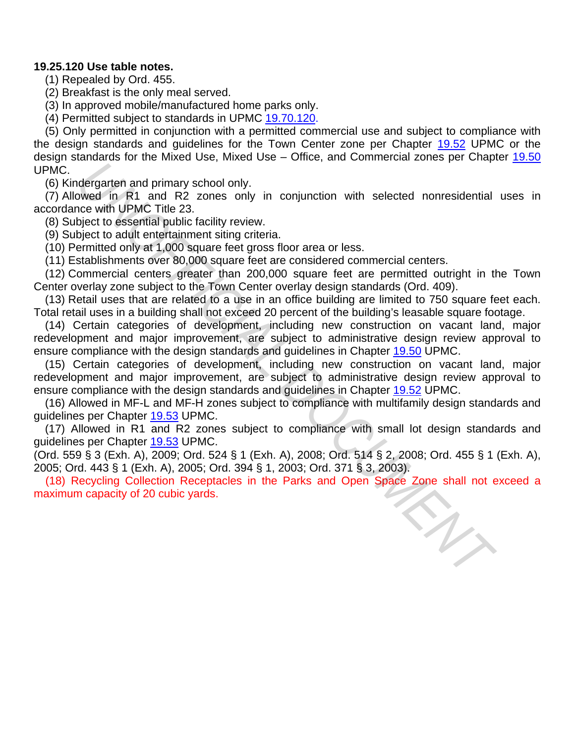# **19.25.120 Use table notes.**

(1) Repealed by Ord. 455.

(2) Breakfast is the only meal served.

(3) In approved mobile/manufactured home parks only.

(4) Permitted subject to standards in UPMC 19.70.120.

(5) Only permitted in conjunction with a permitted commercial use and subject to compliance with the design standards and guidelines for the Town Center zone per Chapter 19.52 UPMC or the design standards for the Mixed Use, Mixed Use – Office, and Commercial zones per Chapter 19.50 UPMC.

(6) Kindergarten and primary school only.

(7) Allowed in R1 and R2 zones only in conjunction with selected nonresidential uses in accordance with UPMC Title 23.

(8) Subject to essential public facility review.

(9) Subject to adult entertainment siting criteria.

(10) Permitted only at 1,000 square feet gross floor area or less.

(11) Establishments over 80,000 square feet are considered commercial centers.

(12) Commercial centers greater than 200,000 square feet are permitted outright in the Town Center overlay zone subject to the Town Center overlay design standards (Ord. 409).

(13) Retail uses that are related to a use in an office building are limited to 750 square feet each. Total retail uses in a building shall not exceed 20 percent of the building's leasable square footage.

(14) Certain categories of development, including new construction on vacant land, major redevelopment and major improvement, are subject to administrative design review approval to ensure compliance with the design standards and guidelines in Chapter 19.50 UPMC. degrate and primary school only<br>the communicated and promary school only<br>weed in R1 and R2 zones only in conjunction with selected nonresidential<br>revewith UPMC Title 23.<br>bigiest to essential public facility review.<br>Higher

(15) Certain categories of development, including new construction on vacant land, major redevelopment and major improvement, are subject to administrative design review approval to ensure compliance with the design standards and guidelines in Chapter 19.52 UPMC.

(16) Allowed in MF-L and MF-H zones subject to compliance with multifamily design standards and guidelines per Chapter 19.53 UPMC.

(17) Allowed in R1 and R2 zones subject to compliance with small lot design standards and guidelines per Chapter 19.53 UPMC.

(Ord. 559 § 3 (Exh. A), 2009; Ord. 524 § 1 (Exh. A), 2008; Ord. 514 § 2, 2008; Ord. 455 § 1 (Exh. A), 2005; Ord. 443 § 1 (Exh. A), 2005; Ord. 394 § 1, 2003; Ord. 371 § 3, 2003).

(18) Recycling Collection Receptacles in the Parks and Open Space Zone shall not exceed a<br>aximum capacity of 20 cubic yards.<br>And the Parks and Open Space Zone shall not exceed a<br>particular capacity of 20 cubic yards. maximum capacity of 20 cubic yards.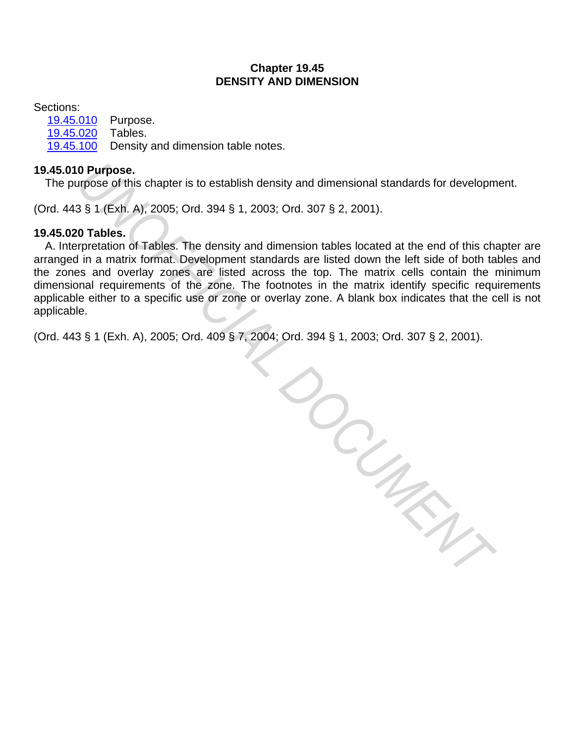# **Chapter 19.45 DENSITY AND DIMENSION**

Sections:

19.45.010 Purpose. 19.45.020 Tables. 19.45.100 Density and dimension table notes.

# **19.45.010 Purpose.**

The purpose of this chapter is to establish density and dimensional standards for development.

(Ord. 443 § 1 (Exh. A), 2005; Ord. 394 § 1, 2003; Ord. 307 § 2, 2001).

# **19.45.020 Tables.**

A. Interpretation of Tables. The density and dimension tables located at the end of this chapter are arranged in a matrix format. Development standards are listed down the left side of both tables and the zones and overlay zones are listed across the top. The matrix cells contain the minimum dimensional requirements of the zone. The footnotes in the matrix identify specific requirements applicable either to a specific use or zone or overlay zone. A blank box indicates that the cell is not applicable.

(Ord. 443 § 1 (Exh. A), 2005; Ord. 409 § 7, 2004; Ord. 394 § 1, 2003; Ord. 307 § 2, 2001).

**A: Ord.**<br>COLUMENT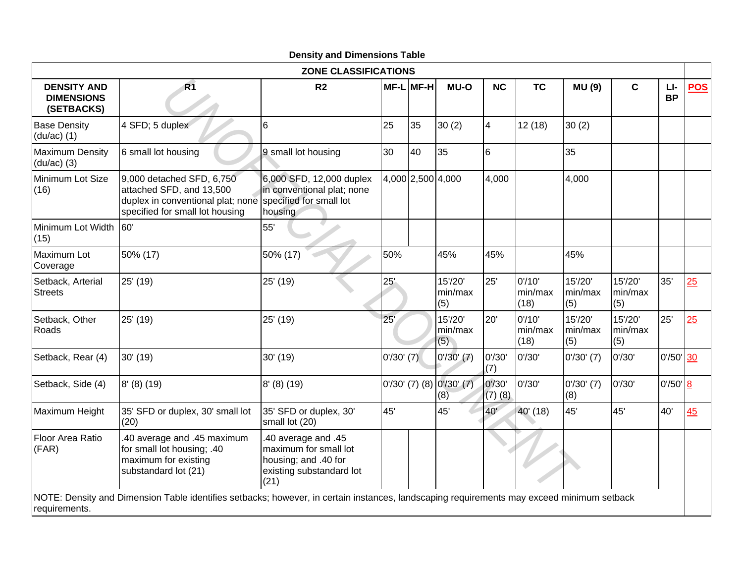|                                                       |                                                                                                                                           | ZONE CLASSIFICATIONS                                                                                     |              |           |                                  |                       |                           |                           |                           |                  |            |
|-------------------------------------------------------|-------------------------------------------------------------------------------------------------------------------------------------------|----------------------------------------------------------------------------------------------------------|--------------|-----------|----------------------------------|-----------------------|---------------------------|---------------------------|---------------------------|------------------|------------|
| <b>DENSITY AND</b><br><b>DIMENSIONS</b><br>(SETBACKS) | R1                                                                                                                                        | R <sub>2</sub>                                                                                           |              | MF-L MF-H | <b>MU-O</b>                      | <b>NC</b>             | <b>TC</b>                 | <b>MU (9)</b>             | $\mathbf c$               | LI-<br><b>BP</b> | <b>POS</b> |
| <b>Base Density</b><br>$(du/ac)$ (1)                  | 4 SFD; 5 duplex                                                                                                                           | 6                                                                                                        | 25           | 35        | 30(2)                            | $\overline{4}$        | 12(18)                    | 30(2)                     |                           |                  |            |
| <b>Maximum Density</b><br>$(du/ac)$ (3)               | 6 small lot housing                                                                                                                       | 9 small lot housing                                                                                      | 30           | 40        | 35                               | 6                     |                           | 35                        |                           |                  |            |
| Minimum Lot Size<br>(16)                              | 9,000 detached SFD, 6,750<br>attached SFD, and 13,500<br>duplex in conventional plat; none<br>specified for small lot housing             | 6,000 SFD, 12,000 duplex<br>in conventional plat; none<br>specified for small lot<br>housing             |              |           | 4,000 2,500 4,000                | 4,000                 |                           | 4,000                     |                           |                  |            |
| Minimum Lot Width<br>(15)                             | 60'                                                                                                                                       | 55'                                                                                                      |              |           |                                  |                       |                           |                           |                           |                  |            |
| Maximum Lot<br>Coverage                               | 50% (17)                                                                                                                                  | 50% (17)                                                                                                 | 50%          |           | 45%                              | 45%                   |                           | 45%                       |                           |                  |            |
| Setback, Arterial<br><b>Streets</b>                   | 25' (19)                                                                                                                                  | 25' (19)                                                                                                 | 25'          |           | 15'/20'<br>min/max<br>(5)        | 25'                   | 0'/10'<br>min/max<br>(18) | 15'/20'<br>min/max<br>(5) | 15'/20'<br>min/max<br>(5) | 35'              | 25         |
| Setback, Other<br>Roads                               | 25' (19)                                                                                                                                  | 25' (19)                                                                                                 | 25'          |           | 15'/20'<br>min/max<br>(5)        | 20'                   | 0'/10'<br>min/max<br>(18) | 15'/20'<br>min/max<br>(5) | 15'/20'<br>min/max<br>(5) | 25'              | 25         |
| Setback, Rear (4)                                     | 30' (19)                                                                                                                                  | 30' (19)                                                                                                 | $0'/30'$ (7) |           | $0'/30'$ $(7)$                   | 0'/30'<br>(7)         | 0'/30'                    | $0'/30'$ (7)              | 0'/30'                    | $0'/50'$ 30      |            |
| Setback, Side (4)                                     | $8'$ (8) (19)                                                                                                                             | 8' (8) (19)                                                                                              |              |           | 0'/30' (7) (8) 0'/30' (7)<br>(8) | 0'/30'<br>$(7)$ $(8)$ | 0'/30'                    | $0'/30'$ (7)<br>(8)       | 0'/30'                    | 0'/50' 8         |            |
| Maximum Height                                        | 35' SFD or duplex, 30' small lot<br>(20)                                                                                                  | 35' SFD or duplex, 30'<br>small lot (20)                                                                 | 45'          |           | 45'                              | 40'                   | 40' (18)                  | 45'                       | 45'                       | 40'              | 45         |
| Floor Area Ratio<br>(FAR)                             | .40 average and .45 maximum<br>for small lot housing; .40<br>maximum for existing<br>substandard lot (21)                                 | .40 average and .45<br>maximum for small lot<br>housing; and .40 for<br>existing substandard lot<br>(21) |              |           |                                  |                       |                           |                           |                           |                  |            |
| requirements.                                         | NOTE: Density and Dimension Table identifies setbacks; however, in certain instances, landscaping requirements may exceed minimum setback |                                                                                                          |              |           |                                  |                       |                           |                           |                           |                  |            |

# **Density and Dimensions Table**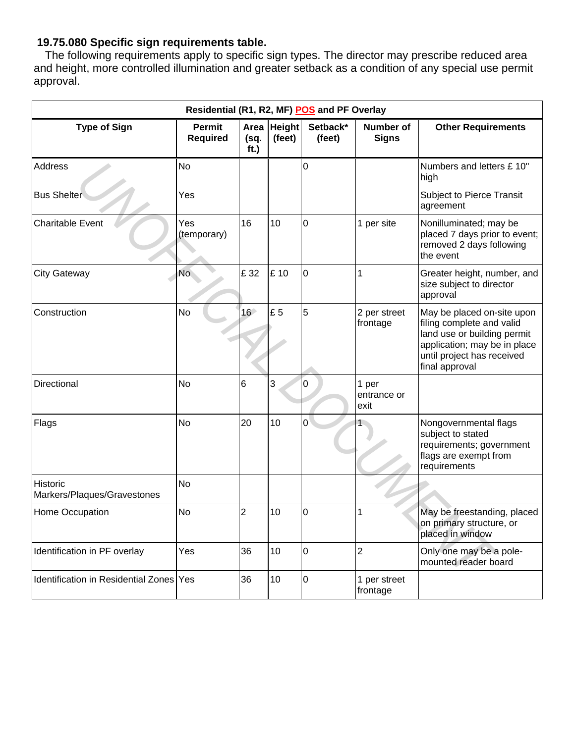# **19.75.080 Specific sign requirements table.**

The following requirements apply to specific sign types. The director may prescribe reduced area and height, more controlled illumination and greater setback as a condition of any special use permit approval.

| Residential (R1, R2, MF) POS and PF Overlay |                                  |                      |                         |                    |                              |                                                                                                                                                                        |  |  |  |  |  |
|---------------------------------------------|----------------------------------|----------------------|-------------------------|--------------------|------------------------------|------------------------------------------------------------------------------------------------------------------------------------------------------------------------|--|--|--|--|--|
| <b>Type of Sign</b>                         | <b>Permit</b><br><b>Required</b> | Area<br>(sq.<br>ft.) | <b>Height</b><br>(feet) | Setback*<br>(feet) | Number of<br><b>Signs</b>    | <b>Other Requirements</b>                                                                                                                                              |  |  |  |  |  |
| Address                                     | <b>No</b>                        |                      |                         | 0                  |                              | Numbers and letters £ 10"<br>high                                                                                                                                      |  |  |  |  |  |
| <b>Bus Shelter</b>                          | Yes                              |                      |                         |                    |                              | Subject to Pierce Transit<br>agreement                                                                                                                                 |  |  |  |  |  |
| <b>Charitable Event</b>                     | Yes<br>(temporary)               | 16                   | 10                      | 0                  | 1 per site                   | Nonilluminated; may be<br>placed 7 days prior to event;<br>removed 2 days following<br>the event                                                                       |  |  |  |  |  |
| <b>City Gateway</b>                         | No.                              | £ 32                 | £ 10                    | 0                  |                              | Greater height, number, and<br>size subject to director<br>approval                                                                                                    |  |  |  |  |  |
| Construction                                | No                               | 16 <sup>°</sup>      | £5                      | 5                  | 2 per street<br>frontage     | May be placed on-site upon<br>filing complete and valid<br>land use or building permit<br>application; may be in place<br>until project has received<br>final approval |  |  |  |  |  |
| Directional                                 | <b>No</b>                        | $6\phantom{1}6$      | 3                       | 0                  | 1 per<br>entrance or<br>exit |                                                                                                                                                                        |  |  |  |  |  |
| Flags                                       | No                               | 20                   | 10                      | 0                  |                              | Nongovernmental flags<br>subject to stated<br>requirements; government<br>flags are exempt from<br>requirements                                                        |  |  |  |  |  |
| Historic<br>Markers/Plaques/Gravestones     | <b>No</b>                        |                      |                         |                    |                              |                                                                                                                                                                        |  |  |  |  |  |
| Home Occupation                             | <b>No</b>                        | $\overline{2}$       | 10                      | 0                  | 1                            | May be freestanding, placed<br>on primary structure, or<br>placed in window                                                                                            |  |  |  |  |  |
| Identification in PF overlay                | Yes                              | 36                   | 10                      | $\overline{0}$     | $\overline{2}$               | Only one may be a pole-<br>mounted reader board                                                                                                                        |  |  |  |  |  |
| Identification in Residential Zones Yes     |                                  | 36                   | 10                      | $\overline{0}$     | 1 per street<br>frontage     |                                                                                                                                                                        |  |  |  |  |  |